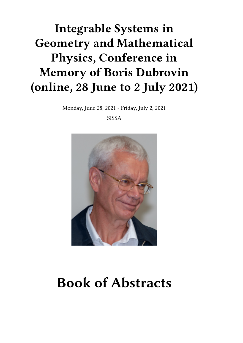## **Integrable Systems in Geometry and Mathematical Physics, Conference in Memory of Boris Dubrovin (online, 28 June to 2 July 2021)**

Monday, June 28, 2021 - Friday, July 2, 2021

SISSA



# **Book of Abstracts**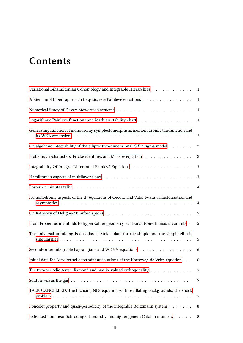## **Contents**

| Variational Bihamiltonian Cohomology and Integrable Hierarchies 1                         |                 |
|-------------------------------------------------------------------------------------------|-----------------|
| A Riemann-Hilbert approach to q-discrete Painlevé equations                               | $\mathbf{1}$    |
|                                                                                           | $\mathbf{1}$    |
| Logarithmic Painlevé functions and Mathieu stability chart 1                              |                 |
| Generating function of monodromy symplectomorphism, isomonodromic tau-function and        | 2               |
| On algebraic integrability of the elliptic two-dimensional $\mathbb{CP}^n$ sigma model    | $\sqrt{2}$      |
| Frobenius k-characters, Fricke identities and Markov equation                             | $\sqrt{2}$      |
|                                                                                           | $\mathbf{3}$    |
|                                                                                           | $\mathbf{3}$    |
|                                                                                           | $\overline{4}$  |
| Isomonodromy aspects of the tt* equations of Cecotti and Vafa. Iwasawa factorization and  | $\overline{4}$  |
|                                                                                           | $\sqrt{5}$      |
| From Frobenius manifolds to hyperKahler geometry via Donaldson-Thomas invariants.         | 5               |
| The universal unfolding is an atlas of Stokes data for the simple and the simple elliptic | 5               |
| Second-order integrable Lagrangians and WDVV equations                                    | $6\overline{6}$ |
| Initial data for Airy kernel determinant solutions of the Korteweg-de Vries equation      | 6               |
| The two-periodic Aztec diamond and matrix valued orthogonality                            | $7\overline{ }$ |
|                                                                                           | 7               |
| TALK CANCELLED: The focusing NLS equation with oscillating backgrounds: the shock         | 7               |
| Poncelet property and quasi-periodicity of the integrable Boltzmann system                | 8               |
| Extended nonlinear Schrodinger hierarchy and higher genera Catalan numbers                | 8               |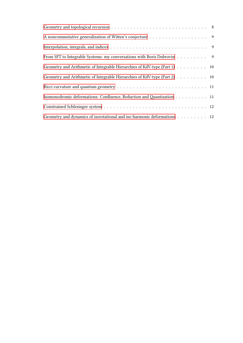| From SFT to Integrable Systems: my conversations with Boris Dubrovin 9                                                                                                                                                                                                                                                    |  |
|---------------------------------------------------------------------------------------------------------------------------------------------------------------------------------------------------------------------------------------------------------------------------------------------------------------------------|--|
| Geometry and Arithmetic of Integrable Hierarchies of KdV-type (Part 1) 10                                                                                                                                                                                                                                                 |  |
| Geometry and Arithmetic of Integrable Hierarchies of KdV-type (Part 2) 10                                                                                                                                                                                                                                                 |  |
|                                                                                                                                                                                                                                                                                                                           |  |
| Isomonodromic deformations: Confluence, Reduction and Quantization 11                                                                                                                                                                                                                                                     |  |
| $\textbf{Constrained Schlesinger system} \texttt{ } \dots \texttt{ } \dots \texttt{ } \dots \texttt{ } \dots \texttt{ } \dots \texttt{ } \dots \texttt{ } \dots \texttt{ } \dots \texttt{ } \dots \texttt{ } \dots \texttt{ } \dots \texttt{ } \dots \texttt{ } \dots \texttt{ } \dots \texttt{ } \dots \texttt{ } \dots$ |  |
| Geometry and dynamics of isorotational and iso-harmonic deformations 12                                                                                                                                                                                                                                                   |  |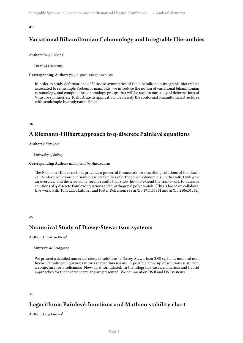## <span id="page-4-0"></span>**Variational Bihamiltonian Cohomology and Integrable Hierarchies**

#### Author: Youjin Zhang<sup>1</sup>

1 *Tsinghua University*

#### **Corresponding Author:** youjin@mail.tsinghua.edu.cn

In order to study deformations of Virasoro symmetries of the bihamiltonian integrable hierarchies associated to semisimple Frobenius manifolds, we introduce the notion of variational bihamiltonian cohomology, and compute the cohomology groups that will be used in our study of deformations of Virasoro symmetries. To illustrate its application, we classify the conformal bihamiltonian structures with semisimple hydrodynamic limits.

<span id="page-4-1"></span>**46**

## **A Riemann-Hilbert approach to q-discrete Painlevé equations**

**Author:** Nalini Joshi<sup>1</sup>

<sup>1</sup> *University of Sidney*

**Corresponding Author:** nalini.joshi@sydney.edu.au

The Riemann-Hilbert method provides a powerful framework for describing solutions of the classical Painlevé equations and semi-classical families of orthogonal polynomials. In this talk, I will give an overview and describe some recent results that show how to extend the framework to describe solutions of q-discrete Painlevé equations and q-orthogonal polynomials. (This is based on collaborative work with Tom Lasic Latimer and Pieter Roffelsen; see arXiv:1911.05854 and arXiv:2106.01042.)

#### <span id="page-4-2"></span>**45**

## **Numerical Study of Davey-Stewartson systems**

#### **Author:** Christian Klein<sup>1</sup>

```
1 Université de Bourgogne
```
We present a detailed numerical study of solutions to Davey-Stewartson (DS) systems, nonlocal nonlinear Schrödinger equations in two spatial dimensions. A possible blow-up of solutions is studied, a conjecture for a selfsimilar blow-up is formulated. In the integrable cases, numerical and hybrid approaches for the inverse scattering are presented. We comment on DS II and DS I systems.

#### <span id="page-4-3"></span>**51**

## **Logarithmic Painlevé functions and Mathieu stability chart**

**Author:** Oleg Lisovyi<sup>1</sup>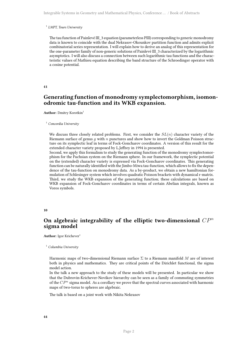#### 1 *LMPT, Tours University*

The tau function of Painlevé III\_3 equation (parameterless PIII) corresponding to generic monodromy data is known to coincide with the dual Nekrasov-Okounkov partition function and admits explicit combinatorial series representation. I will explain how to derive an analog of this representation for the one-parameter family of non-generic solutions of Painlevé III\_3 characterized by the logarithmic asymptotics. I will also discuss a connection between such logarithmic tau functions and the characteristic values of Mathieu equation describing the band structure of the Schroedinger operator with a cosine potential.

#### <span id="page-5-0"></span>**41**

## **Generating function of monodromy symplectomorphism, isomonodromic tau-function and its WKB expansion.**

**Author:** Dmitry Korotkin<sup>1</sup>

#### <sup>1</sup> *Concordia University*

We discuss three closely related problems. First, we consider the *SL*(*n*) character variety of the Riemann surface of genus *g* with *n* punctures and show how to invert the Goldman Poisson structure on its symplectic leaf in terms of Fock-Goncharov coordinates. A version of this result for the extended character variety proposed by L.Jeffrey in 1994 is presented.

Second, we apply this formalism to study the generating function of the monodromy symplectomorphism for the Fuchsian system on the Riemann sphere. In our framework, the symplectic potential on the (extended) character variety is expressed via Fock-Goncharov coordinates. This generating function can be naturally identified with the Jimbo-Miwa tau-function, which allows to fix the dependence of the tau-function on monodromy data. As a by-product, we obtain a new hamiltonian formulation of Schlesinger system which involves quadratic Poisson brackets with dynamical r-matrix. Third, we study the WKB expansion of the generating function; these calculations are based on WKB expansion of Fock-Goncharov coordinates in terms of certain Abelian integrals, known as Voros symbols.

#### <span id="page-5-1"></span>**10**

## **On algebraic integrability of the elliptic two-dimensional** *CP<sup>n</sup>* **sigma model**

**Author:** Igor Krichever<sup>1</sup>

<sup>1</sup> *Columbia University*

Harmonic maps of two-dimensional Riemann surface Σ to a Riemann manifold *M* are of interest both in physics and mathematics. They are critical points of the Dirichlet functional, the sigma model action.

In the talk a new approach to the study of these models will be presented. In particular we show that the Dubrovin-Krichever-Novikov hierarchy can be seen as a family of commuting symmetries of the *CP <sup>n</sup>* sigma model. As a corollary we prove that the spectral curves associated with harmonic maps of two-torus to spheres are algebraic.

<span id="page-5-2"></span>The talk is based on a joint work with Nikita Nekrasov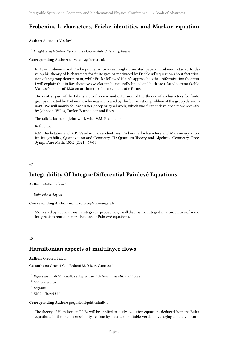## **Frobenius k-characters, Fricke identities and Markov equation**

**Author:** Alexander Veselov<sup>1</sup>

1 *Loughborough University, UK and Moscow State University, Russia*

**Corresponding Author:** a.p.veselov@lboro.ac.uk

In 1896 Frobenius and Fricke published two seemingly unrelated papers: Frobenius started to develop his theory of k-characters for finite groups motivated by Dedekind's question about factorisation of the group determinant, while Fricke followed Klein's approach to the uniformization theorem. I will explain that in fact these two works can be naturally linked and both are related to remarkable Markov's paper of 1880 on arithmetic of binary quadratic forms.

The central part of the talk is a brief review and extension of the theory of k-characters for finite groups initiated by Frobenius, who was motivated by the factorisation problem of the group determinant. We will mainly follow his very deep original work, which was further developed more recently by Johnson, Wiles, Taylor, Buchstaber and Rees.

The talk is based on joint work with V.M. Buchstaber.

Reference:

V.M. Buchstaber and A.P. Veselov Fricke identities, Frobenius *k*-characters and Markov equation. In: Integrability, Quantization and Geometry. II : Quantum Theory and Algebraic Geometry. Proc. Symp. Pure Math. 103.2 (2021), 67-78.

<span id="page-6-0"></span>**47**

## **Integrability Of Integro-Differential Painlevé Equations**

**Author:** Mattia Cafasso<sup>1</sup>

<sup>1</sup> *Université d'Angers*

**Corresponding Author:** mattia.cafasso@univ-angers.fr

Motivated by applications in integrable probability, I will discuss the integrability properties of some integro-differential generalisations of Painlevé equations.

<span id="page-6-1"></span>**13**

## **Hamiltonian aspects of multilayer flows**

**Author:** Gregorio Falqui<sup>1</sup>

**Co-authors:** Ortenzi G.<sup>2</sup>; Pedroni M.<sup>3</sup>; R. A. Camassa<sup>4</sup>

<sup>1</sup> *Dipartimento di Matematica e Applicazioni Universita' di Milano-Bicocca*

<sup>2</sup> *Milano-Bicocca*

3 *Bergamo*

<sup>4</sup> *UNC - Chapel Hill*

**Corresponding Author:** gregorio.falqui@unimib.it

The theory of Hamiltonian PDEs will be applied to study evolution equations deduced from the Euler equations in the incompressibility regime by means of suitable vertical-averaging and asymptotic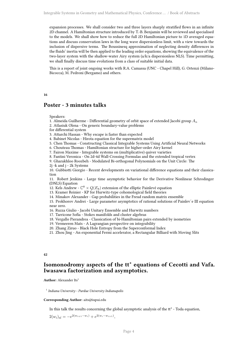expansion processes. We shall consider two and three layers sharply stratified flows in an infinite 2D channel. A Hamiltonian structure introduced by T.-B. Benjamin will be reviewed and specialised to the models. We shall show how to reduce the full 2D Hamiltonian picture to 1D averaged equations and discuss conservation laws in the long wave dispersionless limit, with a view towards the inclusion of dispersive terms. The Boussinesq approximation of neglecting density differences in the fluids' inertia will be then applied to the leading order equations, showing the equivalence of the two-layer system with the shallow-water Airy system (a/k/a dispersionless NLS). Time permitting, we shall finally discuss time evolutions from a class of suitable initial data.

This is a report of joint ongoing works with R.A. Camassa (UNC - Chapel Hill), G. Ortenzi (Milano-Bicocca), M. Pedroni (Bergamo) and others.

#### <span id="page-7-0"></span>**16**

## **Poster - 3 minutes talks**

#### Speakers:

1. Almeida Guilherme - Differential geometry of orbit space of extended Jacobi group *A<sup>n</sup>*

2. Atlasiuk Olena - On generic boundary-value problems

for differential system

3. Attarchi Hassan - Why escape is faster than expected

4. Babinet Nicolas - Hirota equation for the supermatrix model

5. Chen Thomas - Constructing Classical Integrable Systems Using Artificial Neural Networks

6. Chouteau Thomas - Hamiltonian structure for higher-order Airy kernel

7. Fairon Maxime - Integrable systems on (multiplicative) quiver varieties

8. Fantini Veronica - On 2d-4d Wall-Crossing Formulas and the extended tropical vertex

9. Gharakhloo Roozbeh - Modulated Bi-orthogonal Polynomials on the Unit Circle: The

2j -k and j - 2k Systems

10. Gubbiotti Giorgio - Recent developments on variational difference equations and their classication

11. Robert Jenkins - Large time asymptotic behavior for the Derivative Nonlinear Schrodinger (DNLS) Equation

12. Kels Andrew -  $\mathbb{C}^8 \times Q(E_8)$  extension of the elliptic Painlevé equation

13. Kramer Reinier - KP for Hurwitz-type cohomological field theories

14. Minakov Alexander - Gap probabilities in the Freud random matrix ensemble

15. Prokhorov Andrei - Large parameter asymptotics of rational solutions of Painlev´e III equation near zero.

16. Ruzza Giulio - Jacobi Unitary Ensemble and Hurwitz numbers

17. Tarricone Sofia - Stokes manifolds and cluster algebras

18. Vergallo Pierandrea - Classication of bi-Hamiltonian pairs extended by isometries

19. Vermeeren Mats - A Lagrangian perspective on integrability

20. Zhang Ziruo - Black Hole Entropy from the Superconformal Index

21. Zhou Jing - An exponential Fermi accelerator, a Rectangular Billiard with Moving Slits

#### <span id="page-7-1"></span>**42**

## **Isomonodromy aspects of the tt\* equations of Cecotti and Vafa. Iwasawa factorization and asymptotics.**

**Author:** Alexander Its<sup>1</sup>

1 *Indiana University - Purdue University Indianapolis*

#### **Corresponding Author:** aits@iupui.edu

In this talk the results concerning the global asymptotic analysis of the tt\* - Toda equation,

 $2(w_i)_{t\bar{t}} = -e^{2(w_{i+1} - w_i)} + e^{2(w_i - w_{i+1})},$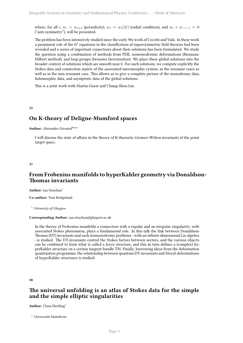where, for all *i*,  $w_i = w_{i+4}$  (periodicity),  $w_i = w_i(|t|)$  (radial condition), and  $w_i + w_{-i-1} = 0$ ("anti-symmetry"), will be presented.

The problem has been intensively studied since the early 90s work of Cecotti and Vafa. In these work a prominent role of the tt\* equations in the classification of supersymmetric field theories had been revealed and a series of important conjectures about their solutions has been formulated. We study the question using a combination of methods from PDE, isomonodromic deformations (Riemann-Hilbert method), and loop groups (Iwasawa factorization). We place these global solutions into the broader context of solutions which are smooth near 0. For such solutions, we compute explicitly the Stokes data and connection matrix of the associated meromorphic system, in the resonant cases as well as in the non-resonant case. This allows us to give a complete picture of the monodromy data, holomorphic data, and asymptotic data of the global solutions.

This is a joint work with Martin Guest and Chang-Shou Lin.

<span id="page-8-0"></span>**15**

## **On K-theory of Deligne-Mumford spaces**

**Author:** Alexander Givental<sup>None</sup>

I will discuss the state of affairs in the theory of K-theoretic Gromov-Witten invariants of the point target space.

<span id="page-8-1"></span>**37**

## **From Frobenius manifolds to hyperKahler geometry via Donaldson-Thomas invariants**

**Author:** Ian Strachan<sup>1</sup>

**Co-author:** Tom Bridgeland

<sup>1</sup> *University of Glasgow*

#### **Corresponding Author:** ian.strachan@glasgow.ac.uk

In the theory of Frobenius manifolds a connection with a regular and an irregular singularity, with associated Stokes phenomena, plays a fundamental role. In this talk the link between Donaldson-Thomas (DT) invariants and such isomonodromy problems - with an infinite dimensional Lie algebra - is studied. The DT-invariants control the Stokes factors between sectors, and the various objects can be combined to form what is called a Joyce structure, and this in turn defines a (complex) hyperKahler structure on a certain tangent bundle TM. Finally, borrowing ideas from the deformation quantisation programme, the relationship between quantum DT-invariants and Moyal-deformations of hyperKahler structures is studied.

<span id="page-8-2"></span>**18**

## **The universal unfolding is an atlas of Stokes data for the simple and the simple elliptic singularities**

**Author:** Claus Hertling<sup>1</sup>

<sup>1</sup> *Universität Mannheim*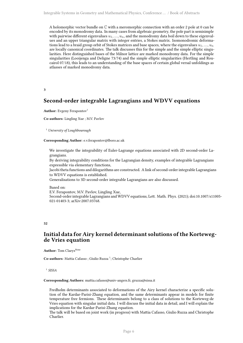A holomorphic vector bundle on  $\mathbb C$  with a meromorphic connection with an order 2 pole at 0 can be encoded by its monodromy data. In many cases from algebraic geometry, the pole part is semisimple with pairwise different eigenvalues *u*1*, ..., un*, and the monodromy data boil down to these eigenvalues and an upper triangular matrix with integer entries, a Stokes matrix. Isomonodromic deformations lead to a braid group orbit of Stokes matrices and base spaces, where the eigenvalues *u*1*, ..., u<sup>n</sup>* are locally canonical coordinates. The talk discusses this for the simple and the simple elliptic singularities. Here distinguished bases of the Milnor lattice are marked monodromy data. For the simple singularities (Looijenga and Deligne 73/74) and the simple elliptic singularities (Hertling and Roucairol 07/18), this leads to an understanding of the base spaces of certain global versal unfoldings as atlasses of marked monodromy data.

#### <span id="page-9-0"></span>**3**

## **Second-order integrable Lagrangians and WDVV equations**

#### **Author:** Evgeny Ferapontov<sup>1</sup>

**Co-authors:** Lingling Xue ; M.V. Pavlov

<sup>1</sup> *University of Loughbourough*

#### **Corresponding Author:** e.v.ferapontov@lboro.ac.uk

We investigate the integrability of Euler-Lagrange equations associated with 2D second-order Lagrangians.

By deriving integrability conditions for the Lagrangian density, examples of integrable Lagrangians expressible via elementary functions,

Jacobi theta functions and dilogarithms are constructed. A link of second-order integrable Lagrangians to WDVV equations is established.

Generalisations to 3D second-order integrable Lagrangians are also discussed.

#### Based on:

E.V. Ferapontov, M.V. Pavlov, Lingling Xue, Second-order integrable Lagrangians and WDVV equations, Lett. Math. Phys. (2021); doi:10.1007/s11005- 021-01403-3; arXiv:2007.03768.

#### <span id="page-9-1"></span>**52**

## **Initial data for Airy kernel determinant solutions of the Kortewegde Vries equation**

**Author:** Tom Claeys<sup>None</sup>

Co-authors: Mattia Cafasso ; Giulio Ruzza<sup>1</sup>; Christophe Charlier

1 *SISSA*

#### **Corresponding Authors:** mattia.cafasso@univ-angers.fr, gruzza@sissa.it

Fredholm determinants associated to deformations of the Airy kernel characterize a specific solution of the Kardar-Parisi-Zhang equation, and the same determinants appear in models for finite temperature free fermions. These determinants belong to a class of solutions to the Korteweg-de Vries equation with singular initial data. I will discuss the initial data in detail, and I will explain the implications for the Kardar-Parisi-Zhang equation.

The talk will be based on joint work (in progress) with Mattia Cafasso, Giulio Ruzza and Christophe Charlier.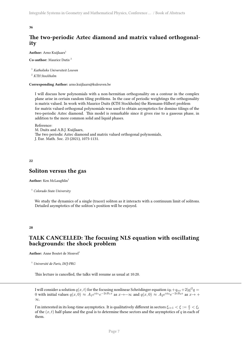## <span id="page-10-0"></span>**The two-periodic Aztec diamond and matrix valued orthogonality**

Author: Arno Kuijlaars<sup>1</sup>

**Co-author:** Maurice Dutis <sup>2</sup>

<sup>1</sup> *Katholieke Universiteit Leuven*

<sup>2</sup> *KTH Stockholm*

**Corresponding Author:** arno.kuijlaars@kuleuven.be

I will discuss how polynomials with a non-hermitian orthogonality on a contour in the complex plane arise in certain random tiling problems. In the case of periodic weightings the orthogonality is matrix valued. In work with Maurice Duits (KTH Stockholm) the Riemann-Hilbert problem for matrix valued orthogonal polynomials was used to obtain asymptotics for domino tilings of the two-periodic Aztec diamond. This model is remarkable since it gives rise to a gaseous phase, in addition to the more common solid and liquid phases.

Reference: M. Duits and A.B.J. Kuijlaars, The two periodic Aztec diamond and matrix valued orthogonal polynomials, J. Eur. Math. Soc. 23 (2021), 1075-1131.

<span id="page-10-1"></span>**22**

### **Soliton versus the gas**

Author: Ken McLaughlin<sup>1</sup>

<sup>1</sup> *Colorado State University*

We study the dynamics of a single (tracer) soliton as it interacts with a continuum limit of solitons. Detailed asymptotics of the soliton's position will be enjoyed.

#### <span id="page-10-2"></span>**28**

## **TALK CANCELLED: The focusing NLS equation with oscillating backgrounds: the shock problem**

Author: Anne Boutet de Monvel<sup>1</sup>

<sup>1</sup> *Université de Paris, IMJ-PRG*

This lecture is cancelled, the talks will resume as usual at 10:20.

I will consider a solution  $q(x, t)$  for the focusing nonlinear Schrödinger equation  $iq_t + q_{xx} + 2|q|^2q =$ 0 with initial values  $q(x,0) \approx A_1 e^{i\phi_1} e^{-2iB_1x}$  as  $x \to -\infty$  and  $q(x,0) \approx A_2 e^{i\phi_2} e^{-2iB_2x}$  as  $x \to +$ *∞*.

I'm interested in its long-time asymptotics. It is qualitatively different in sectors  $\xi_{i+1} < \xi := \frac{x}{t} < \xi_i$ of the  $(x, t)$  half-plane and the goal is to determine these sectors and the asymptotics of  $q$  in each of them.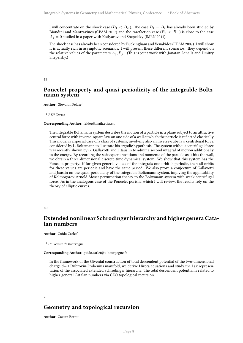I will concentrate on the shock case ( $B_1 < B_2$ ). The case  $B_1 = B_2$  has already been studied by Biondini and Mantzavinos (CPAM 2017) and the rarefaction case ( $B_2 < B_1$ ) is close to the case  $A_1 = 0$  studied in a paper with Kotlyarov and Shepelsky (IMRN 2011).

The shock case has already been considered by Buckingham and Venakides (CPAM 2007). I will show it is actually rich in asymptotic scenarios. I will present these different scenarios. They depend on the relative values of the parameters  $A_j$ ,  $B_j$ . (This is joint work with Jonatan Lenells and Dmitry Shepelsky.)

#### <span id="page-11-0"></span>**43**

## **Poncelet property and quasi-periodicity of the integrable Boltzmann system**

**Author:** Giovanni Felder<sup>1</sup>

1 *ETH Zurich*

#### **Corresponding Author:** felder@math.ethz.ch

The integrable Boltzmann system describes the motion of a particle in a plane subject to an attractive central force with inverse-square law on one side of a wall at which the particle is reflected elastically. This model is a special case of a class of systems, involving also an inverse-cube law centrifugal force, considered by L. Boltzmann to illustrate his ergodic hypothesis. The system without centrifugal force was recently shown by G. Gallavotti and I. Jauslin to admit a second integral of motion additionally to the energy. By recording the subsequent positions and momenta of the particle as it hits the wall, we obtain a three-dimensional discrete-time dynamical system. We show that this system has the Poncelet property: if for given generic values of the integrals one orbit is periodic, then all orbits for these values are periodic and have the same period. We also prove a conjecture of Gallavotti and Jauslin on the quasi-periodicity of the integrable Boltzmann system, implying the applicability of Kolmogorov-Arnold-Moser perturbation theory to the Boltzmann system with weak centrifugal force. As in the analogous case of the Poncelet porism, which I will review, the results rely on the theory of elliptic curves.

#### **60**

## **Extended nonlinear Schrodinger hierarchy and higher genera Catalan numbers**

**Author:** Guido Carlet<sup>1</sup>

<sup>1</sup> *Université de Bourgogne*

**Corresponding Author:** guido.carlet@u-bourgogne.fr

In the framework of the Givental construction of total descendent potential of the two-dimensional charge d=-1 Dubrovin-Frobenius manifold, we derive Hirota equations and study the Lax representation of the associated extended Schrodinger hierarchy. The total descendent potential is related to higher general Catalan numbers via CEO topological recursion.

#### <span id="page-11-1"></span>**2**

## **Geometry and topological recursion**

**Author:** Gaetan Borot<sup>1</sup>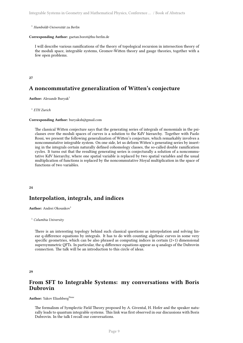<sup>1</sup> *Humboldt-Universität zu Berlin*

#### **Corresponding Author:** gaetan.borot@hu-berlin.de

I will describe various ramifications of the theory of topological recursion in intersection theory of the moduli space, integrable systems, Gromov-Witten theory and gauge theories, together with a few open problems.

#### <span id="page-12-0"></span>**27**

## **A noncommutative generalization of Witten's conjecture**

Author: Alexandr Buryak<sup>1</sup>

#### 1 *ETH Zurich*

#### **Corresponding Author:** buryaksh@gmail.com

The classical Witten conjecture says that the generating series of integrals of monomials in the psiclasses over the moduli spaces of curves is a solution to the KdV hierarchy. Together with Paolo Rossi, we present the following generalization of Witten's conjecture, which remarkably involves a noncommutative integrable system. On one side, let us deform Witten's generating series by inserting in the integrals certain naturally defined cohomology classes, the so-called double ramification cycles. It turns out that the resulting generating series is conjecturally a solution of a noncommutative KdV hierarchy, where one spatial variable is replaced by two spatial variables and the usual multiplication of functions is replaced by the noncommutative Moyal multiplication in the space of functions of two variables.

#### <span id="page-12-1"></span>**24**

## **Interpolation, integrals, and indices**

**Author:** Andrei Okounkov<sup>1</sup>

<sup>1</sup> *Columbia University*

There is an interesting topology behind such classical questions as interpolation and solving linear q-difference equations by integrals. It has to do with counting algebraic curves in some very specific geometries, which can be also phrased as computing indices in certain  $(2+1)$  dimensional supersymmetric QFTs. In particular, the q-difference equations appear as q-analogs of the Dubrovin connection. The talk will be an introduction to this circle of ideas.

#### <span id="page-12-2"></span>**29**

## **From SFT to Integrable Systems: my conversations with Boris Dubrovin**

**Author:** Yakov Eliashberg<sup>None</sup>

The formalism of Symplectic Field Theory proposed by A. Givental, H. Hofer and the speaker naturally leads to quantum integrable systems. This link was first observed in our discussions with Boris Dubrovin. In the talk I recall our conversations.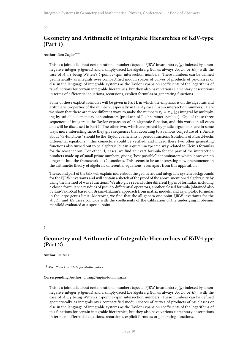## <span id="page-13-0"></span>**Geometry and Arithmetic of Integrable Hierarchies of KdV-type (Part 1)**

#### Author: Don Zagier<sup>None</sup>

This is a joint talk about certain rational numbers (special FJRW invariants)  $\tau_{\mathfrak{a}}(g)$  indexed by a nonnegative integer *g* (genus) and a simply-laced Lie algebra g (for us always *A<sup>l</sup> , D<sup>l</sup>* or *E*6), with the case of *Ar−*<sup>1</sup> being Witten's 1-point *r*-spin intersection numbers. These numbers can be defined geometrically as integrals over compactified moduli spaces of curves of products of psi-classes or else in the language of integrable systems as the Taylor expansion coefficients of the logarithms of tau-functions for certain integrable hierarchies, but they also have various elementary descriptions in terms of differential equations, recursions, explicit formulas or generating functions.

Some of these explicit formulas will be given in Part I, in which the emphasis is on the algebraic and arithmetic properties of the numbers, especially in the *A*<sup>4</sup> case (5-spin intersection numbers). Here we show that there are three different ways to make the numbers  $\tau_g = \tau_{A_4}(g)$  integral by multiplying by suitable elementary denominators (products of Pochhammer symbols). One of these three sequences of integers is the Taylor expansion of an algebraic function, and this works in all cases and will be discussed in Part II. The other two, which are proved by *p*-adic arguments, are in some ways more interesting since they give sequences that according to a famous conjecture of Y. André about "*G*-functions" should be the Taylor coefficients of period functions (solutions of Picard-Fuchs differential equations). This conjecture could be verified, and indeed these two other generating functions also turned out to be algebraic, but in a quite unexpected way related to Klein's formulas for the icosahedron. For other  $A_l$  cases, we find an exact formula for the part of the intersection numbers made up of small prime numbers, giving "best possible" denominators which, however, no longer fit into the framework of *G*-functions. This seems to be an interesting new phenomenon in the arithmetic theory of algebraic differential equations, even apart from this application.

The second part of the talk will explain more about the geometric and integrable system backgrounds for the FJRW invariants and will contain a sketch of the proof of the above-mentioned algebraicity by using the method of wave functions. We also give several other different types of formulas, including a closed formula via residues of pseudo-differential operators, another closed formula (obtained also by Liu-Vakil-Xu) based on Brézin-Hikami's approach from matrix models, and asymptotic formulas in the large-genus limit. Moreover, we find that the all-genera one-point FJRW invariants for the  $A_l$ ,  $D_l$  and  $E_6$  cases coincide with the coefficients of the calibration of the underlying Frobenius manifold evaluated at a special point.

<span id="page-13-1"></span>**7**

## **Geometry and Arithmetic of Integrable Hierarchies of KdV-type (Part 2)**

**Author:** Di Yang<sup>1</sup>

<sup>1</sup> *Max Planck Institute for Mathematics*

#### **Corresponding Author:** diyang@mpim-bonn.mpg.de

This is a joint talk about certain rational numbers (special FJRW invariants) *τ*g(*g*) indexed by a nonnegative integer *g* (genus) and a simply-laced Lie algebra g (for us always *A<sup>l</sup> , D<sup>l</sup>* or *E*6), with the case of *A<sup>r</sup>−*<sup>1</sup> being Witten's 1-point *r*-spin intersection numbers. These numbers can be defined geometrically as integrals over compactified moduli spaces of curves of products of psi-classes or else in the language of integrable systems as the Taylor expansion coefficients of the logarithms of tau-functions for certain integrable hierarchies, but they also have various elementary descriptions in terms of differential equations, recursions, explicit formulas or generating functions.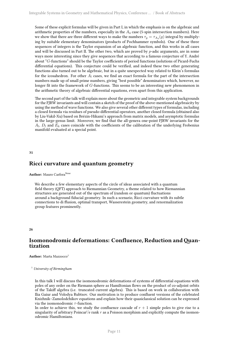Some of these explicit formulas will be given in Part I, in which the emphasis is on the algebraic and arithmetic properties of the numbers, especially in the *A*<sup>4</sup> case (5-spin intersection numbers). Here we show that there are three different ways to make the numbers  $\tau_g = \tau_{A_4}(g)$  integral by multiplying by suitable elementary denominators (products of Pochhammer symbols). One of these three sequences of integers is the Taylor expansion of an algebraic function, and this works in all cases and will be discussed in Part II. The other two, which are proved by *p*-adic arguments, are in some ways more interesting since they give sequences that according to a famous conjecture of Y. André about "*G*-functions" should be the Taylor coefficients of period functions (solutions of Picard-Fuchs differential equations). This conjecture could be verified, and indeed these two other generating functions also turned out to be algebraic, but in a quite unexpected way related to Klein's formulas for the icosahedron. For other  $A_l$  cases, we find an exact formula for the part of the intersection numbers made up of small prime numbers, giving "best possible" denominators which, however, no longer fit into the framework of *G*-functions. This seems to be an interesting new phenomenon in the arithmetic theory of algebraic differential equations, even apart from this application.

The second part of the talk will explain more about the geometric and integrable system backgrounds for the FJRW invariants and will contain a sketch of the proof of the above-mentioned algebraicity by using the method of wave functions. We also give several other different types of formulas, including a closed formula via residues of pseudo-differential operators, another closed formula (obtained also by Liu-Vakil-Xu) based on Brézin-Hikami's approach from matrix models, and asymptotic formulas in the large-genus limit. Moreover, we find that the all-genera one-point FJRW invariants for the  $A_l$ ,  $D_l$  and  $E_6$  cases coincide with the coefficients of the calibration of the underlying Frobenius manifold evaluated at a special point.

<span id="page-14-0"></span>**31**

## **Ricci curvature and quantum geometry**

**Author:** Mauro Carfora<sup>None</sup>

We describe a few elementary aspects of the circle of ideas associated with a quantum field theory (QFT) approach to Riemannian Geometry, a theme related to how Riemannian structures are generated out of the spectrum of (random or quantum) fluctuations around a background fiducial geometry. In such a scenario, Ricci curvature with its subtle connections to di ffusion, optimal transport, Wasserestein geometry, and renormalization group features prominently.

<span id="page-14-1"></span>**26**

## Isomonodromic deformations: Confluence, Reduction and Quan**tization**

**Author:** Marta Mazzocco<sup>1</sup>

<sup>1</sup> *University of Birmingham*

In this talk I will discuss the isomonodromic deformations of systems of differential equations with poles of any order on the Riemann sphere as Hamiltonian flows on the product of co-adjoint orbits of the Takiff algebra (i.e. truncated current algebra). This is based on work in collaboration with Ilia Gaiur and Volodya Rubtsov. Our motivation is to produce confluent versions of the celebrated Knizhnik–Zamolodchikov equations and explain how their quasiclassical solution can be expressed via the isomonodromic *τ* -function.

In order to achieve this, we study the confluence cascade of  $r + 1$  simple poles to give rise to a singularity of arbitrary Poincar\'e rank *r* as a Poisson morphism and explicitly compute the isomonodromic Hamiltonians.